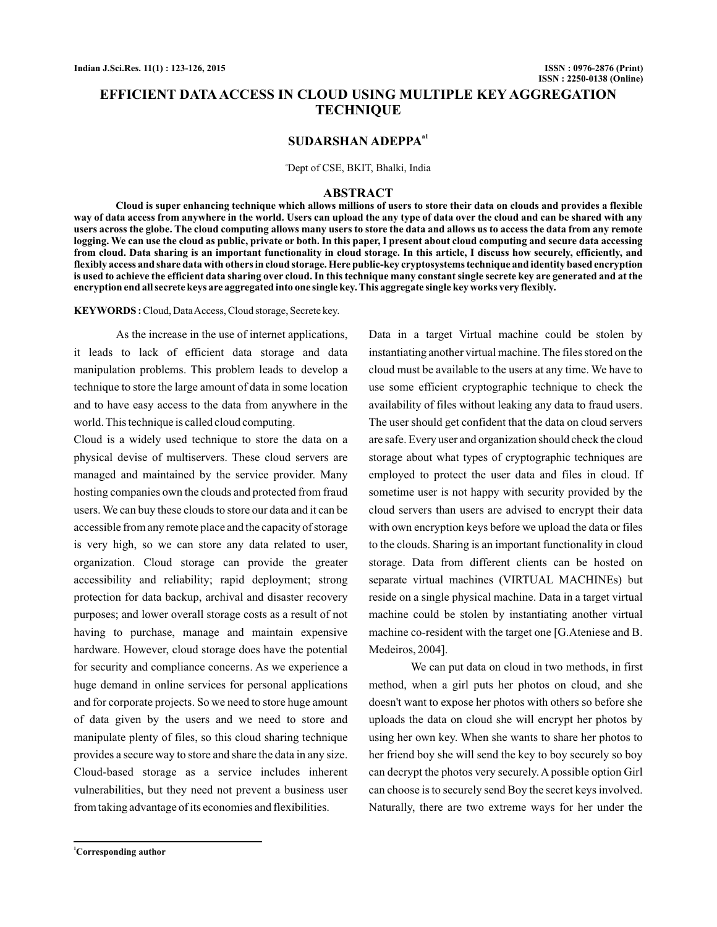# **EFFICIENT DATA ACCESS IN CLOUD USING MULTIPLE KEY AGGREGATION TECHNIQUE**

# **SUDARSHAN ADEPPAa1**

<sup>a</sup>Dept of CSE, BKIT, Bhalki, India

#### **ABSTRACT**

**Cloud is super enhancing technique which allows millions of users to store their data on clouds and provides a flexible way of data access from anywhere in the world. Users can upload the any type of data over the cloud and can be shared with any users across the globe. The cloud computing allows many users to store the data and allows us to access the data from any remote logging. We can use the cloud as public, private or both. In this paper, I present about cloud computing and secure data accessing from cloud. Data sharing is an important functionality in cloud storage. In this article, I discuss how securely, efficiently, and flexibly access and share data with others in cloud storage. Here public-key cryptosystems technique and identity based encryption is used to achieve the efficient data sharing over cloud. In this technique many constant single secrete key are generated and at the encryption end all secrete keys are aggregated into one single key. This aggregate single key works very flexibly.**

**KEYWORDS :**Cloud, DataAccess, Cloud storage, Secrete key.

As the increase in the use of internet applications, it leads to lack of efficient data storage and data manipulation problems. This problem leads to develop a technique to store the large amount of data in some location and to have easy access to the data from anywhere in the world. This technique is called cloud computing.

Cloud is a widely used technique to store the data on a physical devise of multiservers. These cloud servers are managed and maintained by the service provider. Many hosting companies own the clouds and protected from fraud users. We can buy these clouds to store our data and it can be accessible from any remote place and the capacity of storage is very high, so we can store any data related to user, organization. Cloud storage can provide the greater accessibility and reliability; rapid deployment; strong protection for data backup, archival and disaster recovery purposes; and lower overall storage costs as a result of not having to purchase, manage and maintain expensive hardware. However, cloud storage does have the potential for security and compliance concerns. As we experience a huge demand in online services for personal applications and for corporate projects. So we need to store huge amount of data given by the users and we need to store and manipulate plenty of files, so this cloud sharing technique provides a secure way to store and share the data in any size. Cloud-based storage as a service includes inherent vulnerabilities, but they need not prevent a business user from taking advantage of its economies and flexibilities.

Data in a target Virtual machine could be stolen by instantiating another virtual machine. The files stored on the cloud must be available to the users at any time. We have to use some efficient cryptographic technique to check the availability of files without leaking any data to fraud users. The user should get confident that the data on cloud servers are safe. Every user and organization should check the cloud storage about what types of cryptographic techniques are employed to protect the user data and files in cloud. If sometime user is not happy with security provided by the cloud servers than users are advised to encrypt their data with own encryption keys before we upload the data or files to the clouds. Sharing is an important functionality in cloud storage. Data from different clients can be hosted on separate virtual machines (VIRTUAL MACHINEs) but reside on a single physical machine. Data in a target virtual machine could be stolen by instantiating another virtual machine co-resident with the target one [G.Ateniese and B. Medeiros, 2004].

We can put data on cloud in two methods, in first method, when a girl puts her photos on cloud, and she doesn't want to expose her photos with others so before she uploads the data on cloud she will encrypt her photos by using her own key. When she wants to share her photos to her friend boy she will send the key to boy securely so boy can decrypt the photos very securely. A possible option Girl can choose is to securely send Boy the secret keys involved. Naturally, there are two extreme ways for her under the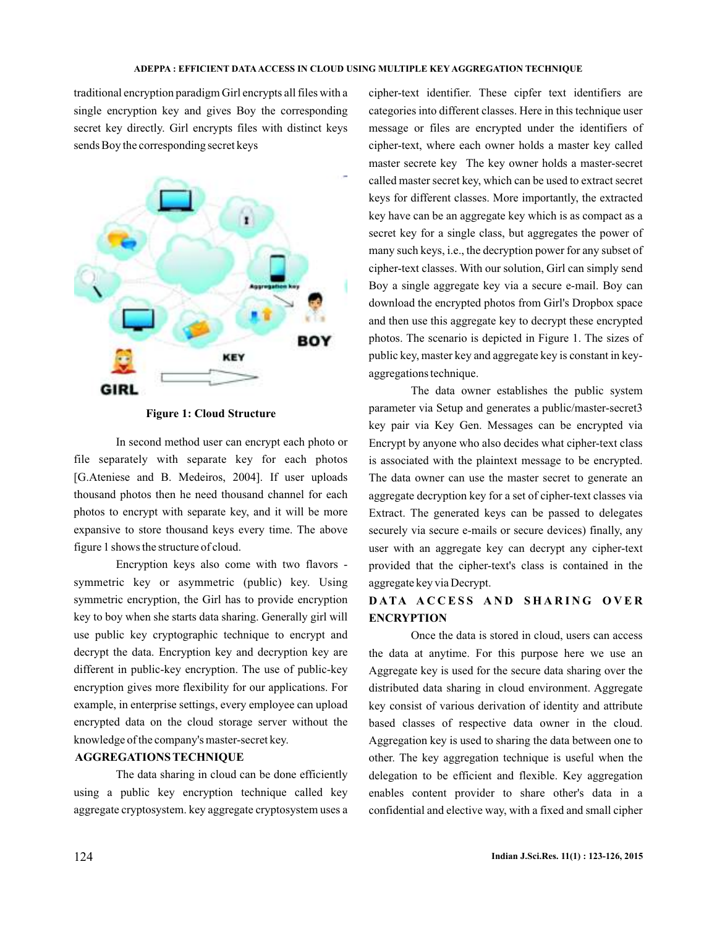traditional encryption paradigm Girl encrypts all files with a single encryption key and gives Boy the corresponding secret key directly. Girl encrypts files with distinct keys sends Boy the corresponding secret keys



**Figure 1: Cloud Structure**

In second method user can encrypt each photo or file separately with separate key for each photos [G.Ateniese and B. Medeiros, 2004]. If user uploads thousand photos then he need thousand channel for each photos to encrypt with separate key, and it will be more expansive to store thousand keys every time. The above figure 1 shows the structure of cloud.

Encryption keys also come with two flavors symmetric key or asymmetric (public) key. Using symmetric encryption, the Girl has to provide encryption key to boy when she starts data sharing. Generally girl will use public key cryptographic technique to encrypt and decrypt the data. Encryption key and decryption key are different in public-key encryption. The use of public-key encryption gives more flexibility for our applications. For example, in enterprise settings, every employee can upload encrypted data on the cloud storage server without the knowledge of the company's master-secret key.

### **AGGREGATIONS TECHNIQUE**

The data sharing in cloud can be done efficiently using a public key encryption technique called key aggregate cryptosystem. key aggregate cryptosystem uses a cipher-text identifier. These cipfer text identifiers are categories into different classes. Here in this technique user message or files are encrypted under the identifiers of cipher-text, where each owner holds a master key called master secrete key The key owner holds a master-secret called master secret key, which can be used to extract secret keys for different classes. More importantly, the extracted key have can be an aggregate key which is as compact as a secret key for a single class, but aggregates the power of many such keys, i.e., the decryption power for any subset of cipher-text classes. With our solution, Girl can simply send Boy a single aggregate key via a secure e-mail. Boy can download the encrypted photos from Girl's Dropbox space and then use this aggregate key to decrypt these encrypted photos. The scenario is depicted in Figure 1. The sizes of public key, master key and aggregate key is constant in keyaggregations technique.

The data owner establishes the public system parameter via Setup and generates a public/master-secret3 key pair via Key Gen. Messages can be encrypted via Encrypt by anyone who also decides what cipher-text class is associated with the plaintext message to be encrypted. The data owner can use the master secret to generate an aggregate decryption key for a set of cipher-text classes via Extract. The generated keys can be passed to delegates securely via secure e-mails or secure devices) finally, any user with an aggregate key can decrypt any cipher-text provided that the cipher-text's class is contained in the aggregate key via Decrypt.

## **DATA ACCESS AND SHARING OVER ENCRYPTION**

Once the data is stored in cloud, users can access the data at anytime. For this purpose here we use an Aggregate key is used for the secure data sharing over the distributed data sharing in cloud environment. Aggregate key consist of various derivation of identity and attribute based classes of respective data owner in the cloud. Aggregation key is used to sharing the data between one to other. The key aggregation technique is useful when the delegation to be efficient and flexible. Key aggregation enables content provider to share other's data in a confidential and elective way, with a fixed and small cipher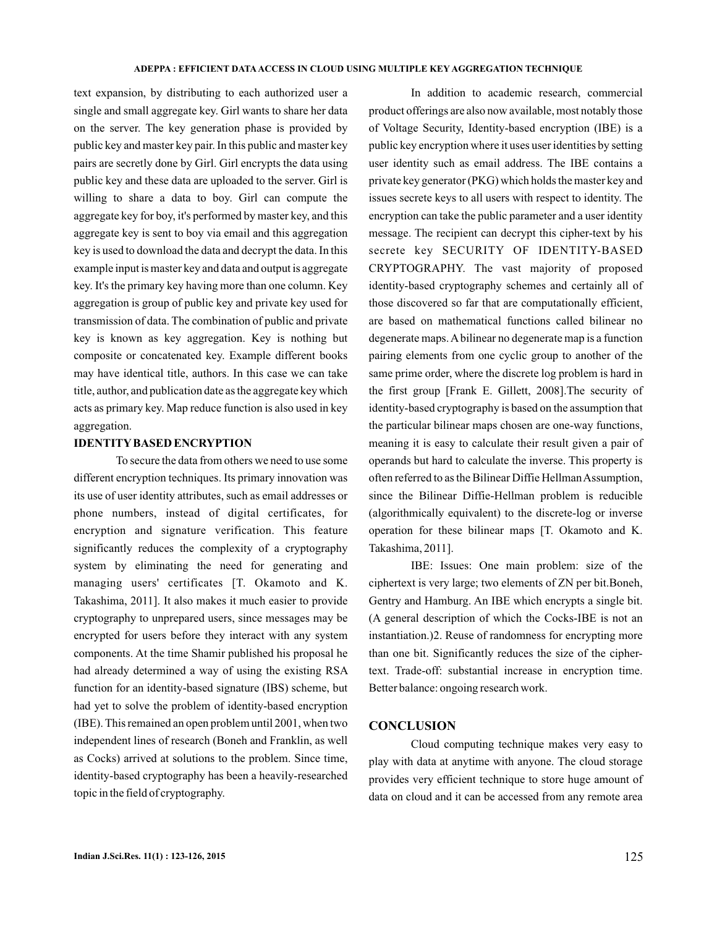text expansion, by distributing to each authorized user a single and small aggregate key. Girl wants to share her data on the server. The key generation phase is provided by public key and master key pair. In this public and master key pairs are secretly done by Girl. Girl encrypts the data using public key and these data are uploaded to the server. Girl is willing to share a data to boy. Girl can compute the aggregate key for boy, it's performed by master key, and this aggregate key is sent to boy via email and this aggregation key is used to download the data and decrypt the data. In this example input is master key and data and output is aggregate key. It's the primary key having more than one column. Key aggregation is group of public key and private key used for transmission of data. The combination of public and private key is known as key aggregation. Key is nothing but composite or concatenated key. Example different books may have identical title, authors. In this case we can take title, author, and publication date as the aggregate key which acts as primary key. Map reduce function is also used in key aggregation.

### **IDENTITYBASED ENCRYPTION**

To secure the data from others we need to use some different encryption techniques. Its primary innovation was its use of user identity attributes, such as email addresses or phone numbers, instead of digital certificates, for encryption and signature verification. This feature significantly reduces the complexity of a cryptography system by eliminating the need for generating and managing users' certificates [T. Okamoto and K. Takashima, 2011]. It also makes it much easier to provide cryptography to unprepared users, since messages may be encrypted for users before they interact with any system components. At the time Shamir published his proposal he had already determined a way of using the existing RSA function for an identity-based signature (IBS) scheme, but had yet to solve the problem of identity-based encryption (IBE). This remained an open problem until 2001, when two independent lines of research (Boneh and Franklin, as well as Cocks) arrived at solutions to the problem. Since time, identity-based cryptography has been a heavily-researched topic in the field of cryptography.

In addition to academic research, commercial product offerings are also now available, most notably those of Voltage Security, Identity-based encryption (IBE) is a public key encryption where it uses user identities by setting user identity such as email address. The IBE contains a private key generator (PKG) which holds the master key and issues secrete keys to all users with respect to identity. The encryption can take the public parameter and a user identity message. The recipient can decrypt this cipher-text by his secrete key SECURITY OF IDENTITY-BASED CRYPTOGRAPHY. The vast majority of proposed identity-based cryptography schemes and certainly all of those discovered so far that are computationally efficient, are based on mathematical functions called bilinear no degenerate maps.Abilinear no degenerate map is a function pairing elements from one cyclic group to another of the same prime order, where the discrete log problem is hard in the first group [Frank E. Gillett, 2008].The security of identity-based cryptography is based on the assumption that the particular bilinear maps chosen are one-way functions, meaning it is easy to calculate their result given a pair of operands but hard to calculate the inverse. This property is often referred to as the Bilinear Diffie Hellman Assumption, since the Bilinear Diffie-Hellman problem is reducible (algorithmically equivalent) to the discrete-log or inverse operation for these bilinear maps [T. Okamoto and K. Takashima, 2011].

IBE: Issues: One main problem: size of the ciphertext is very large; two elements of ZN per bit.Boneh, Gentry and Hamburg. An IBE which encrypts a single bit. (A general description of which the Cocks-IBE is not an instantiation.)2. Reuse of randomness for encrypting more than one bit. Significantly reduces the size of the ciphertext. Trade-off: substantial increase in encryption time. Better balance: ongoing research work.

### **CONCLUSION**

Cloud computing technique makes very easy to play with data at anytime with anyone. The cloud storage provides very efficient technique to store huge amount of data on cloud and it can be accessed from any remote area